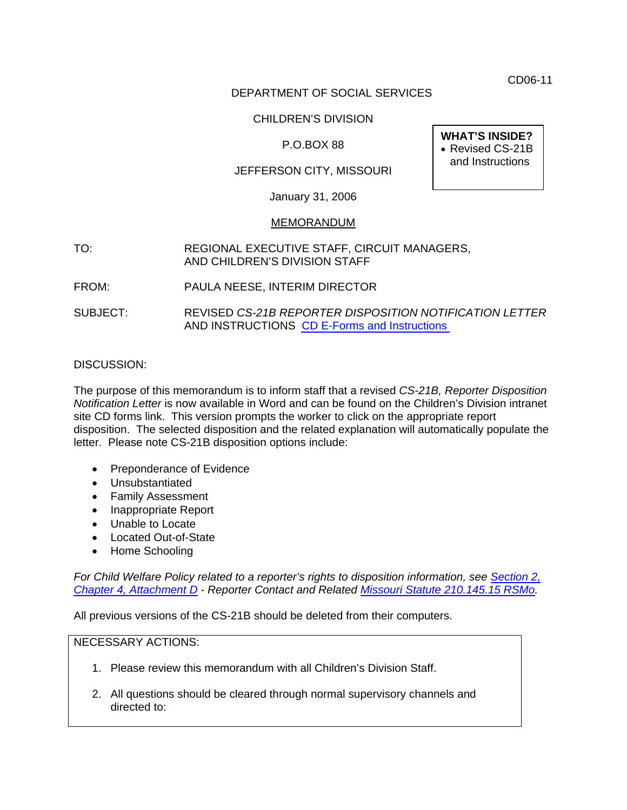CD06-11

# DEPARTMENT OF SOCIAL SERVICES

# CHILDREN'S DIVISION

# P.O.BOX 88

# JEFFERSON CITY, MISSOURI

January 31, 2006

#### MEMORANDUM

### TO: REGIONAL EXECUTIVE STAFF, CIRCUIT MANAGERS, AND CHILDREN'S DIVISION STAFF

- FROM: PAULA NEESE, INTERIM DIRECTOR
- SUBJECT: REVISED *CS-21B REPORTER DISPOSITION NOTIFICATION LETTER*  AND INSTRUCTIONS [CD E-Forms and Instructions](http://www.dss.mo.gov/cd/info/forms/index.htm)

### DISCUSSION:

The purpose of this memorandum is to inform staff that a revised *CS-21B, Reporter Disposition Notification Letter* is now available in Word and can be found on the Children's Division intranet site CD forms link. This version prompts the worker to click on the appropriate report disposition. The selected disposition and the related explanation will automatically populate the letter. Please note CS-21B disposition options include:

- Preponderance of Evidence
- Unsubstantiated
- Family Assessment
- Inappropriate Report
- Unable to Locate
- Located Out-of-State
- Home Schooling

*For Child Welfare Policy related to a reporter's rights to disposition information, see [Section 2,](http://www.dss.mo.gov/cd/info/cwmanual/section2/ch4/sec2ch4attachd.htm)  [Chapter 4, Attachment D](http://www.dss.mo.gov/cd/info/cwmanual/section2/ch4/sec2ch4attachd.htm) - Reporter Contact and Related [Missouri Statute 210.145.15 RSMo](http://www.moga.mo.gov/statutes/C200-299/2100000145.HTM).* 

All previous versions of the CS-21B should be deleted from their computers.

# NECESSARY ACTIONS:

- 1. Please review this memorandum with all Children's Division Staff.
- 2. All questions should be cleared through normal supervisory channels and directed to:

**WHAT'S INSIDE?**  • Revised CS-21B and Instructions